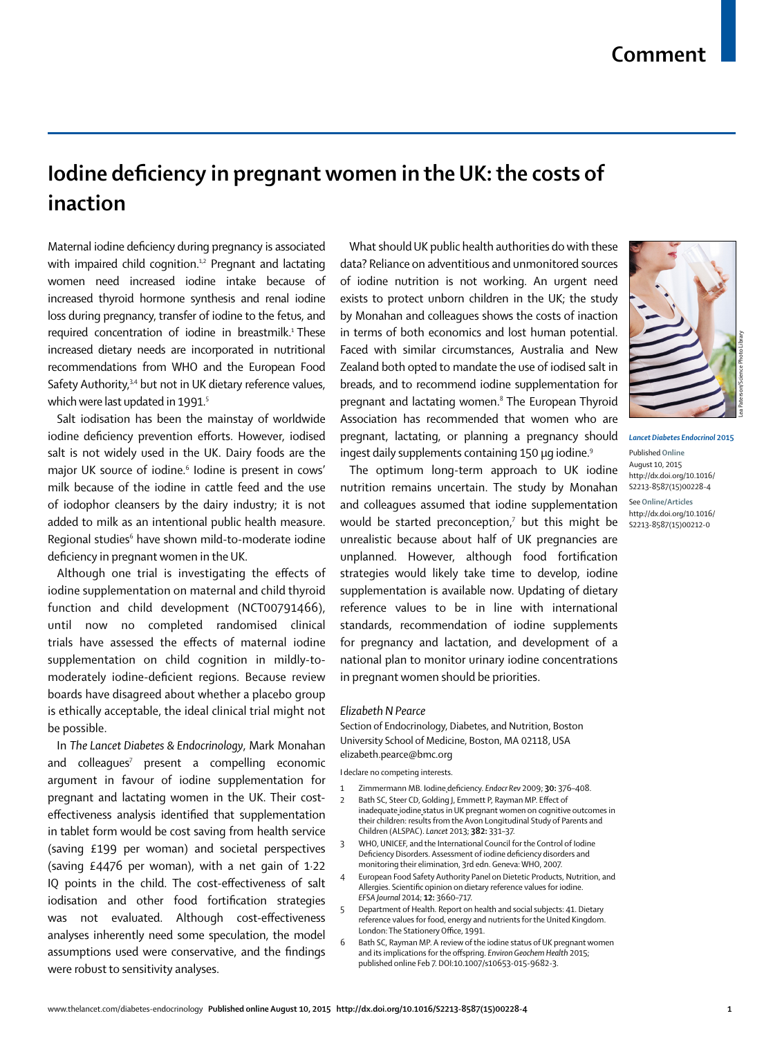## **Iodine deficiency in pregnant women in the UK: the costs of inaction**

Maternal iodine deficiency during pregnancy is associated with impaired child cognition.<sup>1,2</sup> Pregnant and lactating women need increased iodine intake because of increased thyroid hormone synthesis and renal iodine loss during pregnancy, transfer of iodine to the fetus, and required concentration of iodine in breastmilk.<sup>1</sup> These increased dietary needs are incorporated in nutritional recommendations from WHO and the European Food Safety Authority,<sup>3,4</sup> but not in UK dietary reference values, which were last updated in 1991.<sup>5</sup>

Salt iodisation has been the mainstay of worldwide iodine deficiency prevention efforts. However, iodised salt is not widely used in the UK. Dairy foods are the major UK source of iodine.<sup>6</sup> Iodine is present in cows' milk because of the iodine in cattle feed and the use of iodophor cleansers by the dairy industry; it is not added to milk as an intentional public health measure. Regional studies $^{\rm 6}$  have shown mild-to-moderate iodine deficiency in pregnant women in the UK.

Although one trial is investigating the effects of iodine supplementation on maternal and child thyroid function and child development (NCT00791466), until now no completed randomised clinical trials have assessed the effects of maternal iodine supplementation on child cognition in mildly-tomoderately iodine-deficient regions. Because review boards have disagreed about whether a placebo group is ethically acceptable, the ideal clinical trial might not be possible.

In *The Lancet Diabetes & Endocrinology*, Mark Monahan and colleagues<sup>7</sup> present a compelling economic argument in favour of iodine supplementation for pregnant and lactating women in the UK. Their costeffectiveness analysis identified that supplementation in tablet form would be cost saving from health service (saving £199 per woman) and societal perspectives (saving £4476 per woman), with a net gain of 1·22 IQ points in the child. The cost-effectiveness of salt iodisation and other food fortification strategies was not evaluated. Although cost-effectiveness analyses inherently need some speculation, the model assumptions used were conservative, and the findings were robust to sensitivity analyses.

What should UK public health authorities do with these data? Reliance on adventitious and unmonitored sources of iodine nutrition is not working. An urgent need exists to protect unborn children in the UK; the study by Monahan and colleagues shows the costs of inaction in terms of both economics and lost human potential. Faced with similar circumstances, Australia and New Zealand both opted to mandate the use of iodised salt in breads, and to recommend iodine supplementation for pregnant and lactating women.<sup>8</sup> The European Thyroid Association has recommended that women who are pregnant, lactating, or planning a pregnancy should ingest daily supplements containing 150 μg iodine.<sup>9</sup>

The optimum long-term approach to UK iodine nutrition remains uncertain. The study by Monahan and colleagues assumed that iodine supplementation would be started preconception, $\bar{z}$  but this might be unrealistic because about half of UK pregnancies are unplanned. However, although food fortification strategies would likely take time to develop, iodine supplementation is available now. Updating of dietary reference values to be in line with international standards, recommendation of iodine supplements for pregnancy and lactation, and development of a national plan to monitor urinary iodine concentrations in pregnant women should be priorities.

## *Elizabeth N Pearce*

Section of Endocrinology, Diabetes, and Nutrition, Boston University School of Medicine, Boston, MA 02118, USA elizabeth.pearce@bmc.org

I declare no competing interests.

- 1 Zimmermann MB. Iodine deficiency. *Endocr Rev* 2009; **30:** 376-408.
- Bath SC, Steer CD, Golding J, Emmett P, Rayman MP. Effect of inadequate iodine status in UK pregnant women on cognitive outcomes in their children: results from the Avon Longitudinal Study of Parents and Children (ALSPAC). *Lancet* 2013; **382:** 331–37.
- 3 WHO, UNICEF, and the International Council for the Control of Iodine Deficiency Disorders. Assessment of iodine deficiency disorders and monitoring their elimination, 3rd edn. Geneva: WHO, 2007.
- 4 European Food Safety Authority Panel on Dietetic Products, Nutrition, and Allergies. Scientific opinion on dietary reference values for iodine. *EFSA Journal* 2014; **12:** 3660–717.
- 5 Department of Health. Report on health and social subjects: 41. Dietary reference values for food, energy and nutrients for the United Kingdom. London: The Stationery Office, 1991.
- 6 Bath SC, Rayman MP. A review of the iodine status of UK pregnant women and its implications for the off spring. *Environ Geochem Health* 2015; published online Feb 7. DOI:10.1007/s10653-015-9682-3.



*Lancet Diabetes Endocrinol* **2015** Published **Online** August 10, 2015 http://dx.doi.org/10.1016/ S2213-8587(15)00228-4 See **Online/Articles** http://dx.doi.org/10.1016/ S2213-8587(15)00212-0